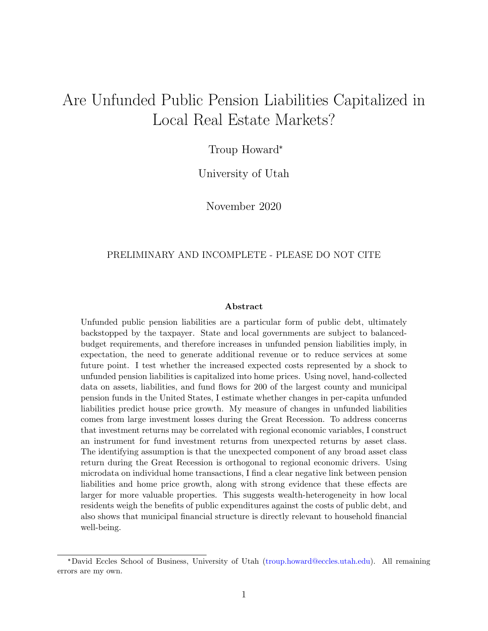# <span id="page-0-0"></span>Are Unfunded Public Pension Liabilities Capitalized in Local Real Estate Markets?

Troup Howard\*

University of Utah

November 2020

#### PRELIMINARY AND INCOMPLETE - PLEASE DO NOT CITE

#### Abstract

Unfunded public pension liabilities are a particular form of public debt, ultimately backstopped by the taxpayer. State and local governments are subject to balancedbudget requirements, and therefore increases in unfunded pension liabilities imply, in expectation, the need to generate additional revenue or to reduce services at some future point. I test whether the increased expected costs represented by a shock to unfunded pension liabilities is capitalized into home prices. Using novel, hand-collected data on assets, liabilities, and fund flows for 200 of the largest county and municipal pension funds in the United States, I estimate whether changes in per-capita unfunded liabilities predict house price growth. My measure of changes in unfunded liabilities comes from large investment losses during the Great Recession. To address concerns that investment returns may be correlated with regional economic variables, I construct an instrument for fund investment returns from unexpected returns by asset class. The identifying assumption is that the unexpected component of any broad asset class return during the Great Recession is orthogonal to regional economic drivers. Using microdata on individual home transactions, I find a clear negative link between pension liabilities and home price growth, along with strong evidence that these effects are larger for more valuable properties. This suggests wealth-heterogeneity in how local residents weigh the benefits of public expenditures against the costs of public debt, and also shows that municipal financial structure is directly relevant to household financial well-being.

<sup>\*</sup>David Eccles School of Business, University of Utah [\(troup.howard@eccles.utah.edu\)](mailto:troup.howard@eccles.utah.edu). All remaining errors are my own.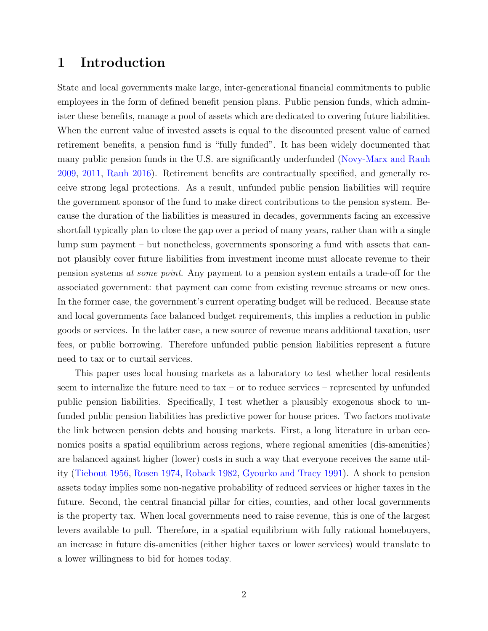### 1 Introduction

State and local governments make large, inter-generational financial commitments to public employees in the form of defined benefit pension plans. Public pension funds, which administer these benefits, manage a pool of assets which are dedicated to covering future liabilities. When the current value of invested assets is equal to the discounted present value of earned retirement benefits, a pension fund is "fully funded". It has been widely documented that many public pension funds in the U.S. are significantly underfunded [\(Novy-Marx and Rauh](#page-18-0) [2009,](#page-18-0) [2011,](#page-18-1) [Rauh](#page-19-0) [2016\)](#page-19-0). Retirement benefits are contractually specified, and generally receive strong legal protections. As a result, unfunded public pension liabilities will require the government sponsor of the fund to make direct contributions to the pension system. Because the duration of the liabilities is measured in decades, governments facing an excessive shortfall typically plan to close the gap over a period of many years, rather than with a single lump sum payment – but nonetheless, governments sponsoring a fund with assets that cannot plausibly cover future liabilities from investment income must allocate revenue to their pension systems at some point. Any payment to a pension system entails a trade-off for the associated government: that payment can come from existing revenue streams or new ones. In the former case, the government's current operating budget will be reduced. Because state and local governments face balanced budget requirements, this implies a reduction in public goods or services. In the latter case, a new source of revenue means additional taxation, user fees, or public borrowing. Therefore unfunded public pension liabilities represent a future need to tax or to curtail services.

This paper uses local housing markets as a laboratory to test whether local residents seem to internalize the future need to tax – or to reduce services – represented by unfunded public pension liabilities. Specifically, I test whether a plausibly exogenous shock to unfunded public pension liabilities has predictive power for house prices. Two factors motivate the link between pension debts and housing markets. First, a long literature in urban economics posits a spatial equilibrium across regions, where regional amenities (dis-amenities) are balanced against higher (lower) costs in such a way that everyone receives the same utility [\(Tiebout](#page-19-1) [1956,](#page-19-1) [Rosen](#page-19-2) [1974,](#page-19-2) [Roback](#page-19-3) [1982,](#page-19-3) [Gyourko and Tracy](#page-18-2) [1991\)](#page-18-2). A shock to pension assets today implies some non-negative probability of reduced services or higher taxes in the future. Second, the central financial pillar for cities, counties, and other local governments is the property tax. When local governments need to raise revenue, this is one of the largest levers available to pull. Therefore, in a spatial equilibrium with fully rational homebuyers, an increase in future dis-amenities (either higher taxes or lower services) would translate to a lower willingness to bid for homes today.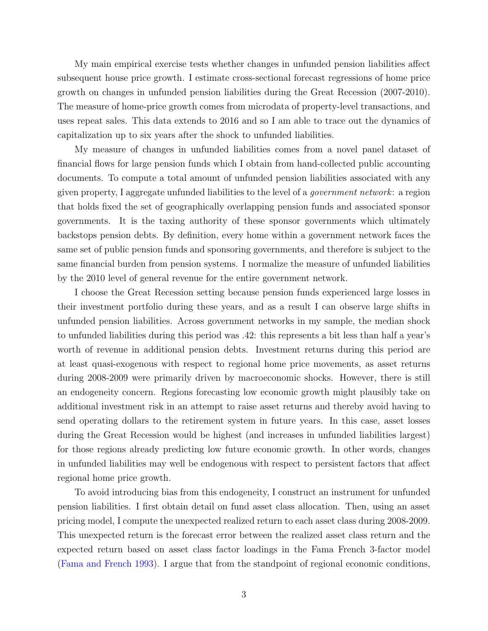My main empirical exercise tests whether changes in unfunded pension liabilities affect subsequent house price growth. I estimate cross-sectional forecast regressions of home price growth on changes in unfunded pension liabilities during the Great Recession (2007-2010). The measure of home-price growth comes from microdata of property-level transactions, and uses repeat sales. This data extends to 2016 and so I am able to trace out the dynamics of capitalization up to six years after the shock to unfunded liabilities.

My measure of changes in unfunded liabilities comes from a novel panel dataset of financial flows for large pension funds which I obtain from hand-collected public accounting documents. To compute a total amount of unfunded pension liabilities associated with any given property, I aggregate unfunded liabilities to the level of a government network: a region that holds fixed the set of geographically overlapping pension funds and associated sponsor governments. It is the taxing authority of these sponsor governments which ultimately backstops pension debts. By definition, every home within a government network faces the same set of public pension funds and sponsoring governments, and therefore is subject to the same financial burden from pension systems. I normalize the measure of unfunded liabilities by the 2010 level of general revenue for the entire government network.

I choose the Great Recession setting because pension funds experienced large losses in their investment portfolio during these years, and as a result I can observe large shifts in unfunded pension liabilities. Across government networks in my sample, the median shock to unfunded liabilities during this period was .42: this represents a bit less than half a year's worth of revenue in additional pension debts. Investment returns during this period are at least quasi-exogenous with respect to regional home price movements, as asset returns during 2008-2009 were primarily driven by macroeconomic shocks. However, there is still an endogeneity concern. Regions forecasting low economic growth might plausibly take on additional investment risk in an attempt to raise asset returns and thereby avoid having to send operating dollars to the retirement system in future years. In this case, asset losses during the Great Recession would be highest (and increases in unfunded liabilities largest) for those regions already predicting low future economic growth. In other words, changes in unfunded liabilities may well be endogenous with respect to persistent factors that affect regional home price growth.

To avoid introducing bias from this endogeneity, I construct an instrument for unfunded pension liabilities. I first obtain detail on fund asset class allocation. Then, using an asset pricing model, I compute the unexpected realized return to each asset class during 2008-2009. This unexpected return is the forecast error between the realized asset class return and the expected return based on asset class factor loadings in the Fama French 3-factor model [\(Fama and French](#page-18-3) [1993\)](#page-18-3). I argue that from the standpoint of regional economic conditions,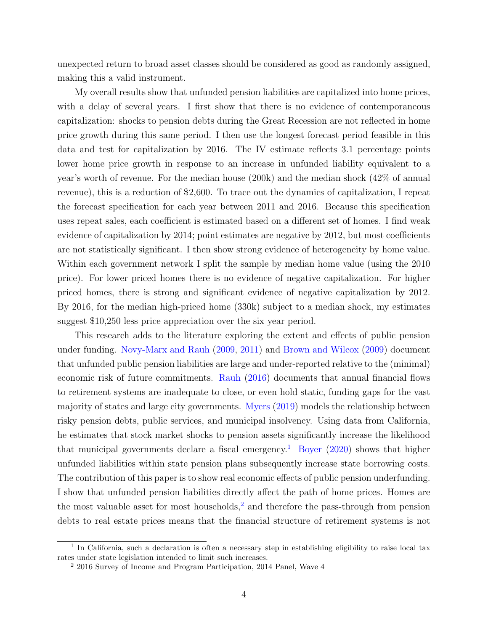unexpected return to broad asset classes should be considered as good as randomly assigned, making this a valid instrument.

My overall results show that unfunded pension liabilities are capitalized into home prices, with a delay of several years. I first show that there is no evidence of contemporaneous capitalization: shocks to pension debts during the Great Recession are not reflected in home price growth during this same period. I then use the longest forecast period feasible in this data and test for capitalization by 2016. The IV estimate reflects 3.1 percentage points lower home price growth in response to an increase in unfunded liability equivalent to a year's worth of revenue. For the median house (200k) and the median shock (42% of annual revenue), this is a reduction of \$2,600. To trace out the dynamics of capitalization, I repeat the forecast specification for each year between 2011 and 2016. Because this specification uses repeat sales, each coefficient is estimated based on a different set of homes. I find weak evidence of capitalization by 2014; point estimates are negative by 2012, but most coefficients are not statistically significant. I then show strong evidence of heterogeneity by home value. Within each government network I split the sample by median home value (using the 2010 price). For lower priced homes there is no evidence of negative capitalization. For higher priced homes, there is strong and significant evidence of negative capitalization by 2012. By 2016, for the median high-priced home (330k) subject to a median shock, my estimates suggest \$10,250 less price appreciation over the six year period.

This research adds to the literature exploring the extent and effects of public pension under funding. [Novy-Marx and Rauh](#page-18-0) [\(2009,](#page-18-0) [2011\)](#page-18-1) and [Brown and Wilcox](#page-18-4) [\(2009\)](#page-18-4) document that unfunded public pension liabilities are large and under-reported relative to the (minimal) economic risk of future commitments. [Rauh](#page-19-0) [\(2016\)](#page-19-0) documents that annual financial flows to retirement systems are inadequate to close, or even hold static, funding gaps for the vast majority of states and large city governments. [Myers](#page-18-5) [\(2019\)](#page-18-5) models the relationship between risky pension debts, public services, and municipal insolvency. Using data from California, he estimates that stock market shocks to pension assets significantly increase the likelihood that municipal governments declare a fiscal emergency.<sup>[1](#page-0-0)</sup> [Boyer](#page-18-6) [\(2020\)](#page-18-6) shows that higher unfunded liabilities within state pension plans subsequently increase state borrowing costs. The contribution of this paper is to show real economic effects of public pension underfunding. I show that unfunded pension liabilities directly affect the path of home prices. Homes are the most valuable asset for most households,<sup>[2](#page-0-0)</sup> and therefore the pass-through from pension debts to real estate prices means that the financial structure of retirement systems is not

<sup>&</sup>lt;sup>1</sup> In California, such a declaration is often a necessary step in establishing eligibility to raise local tax rates under state legislation intended to limit such increases.

<sup>2</sup> 2016 Survey of Income and Program Participation, 2014 Panel, Wave 4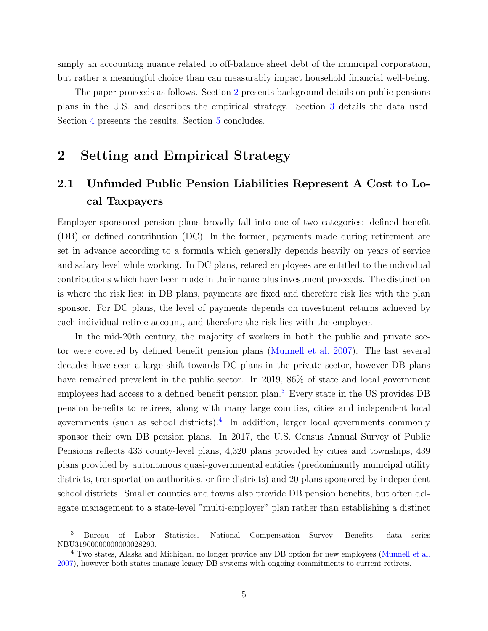simply an accounting nuance related to off-balance sheet debt of the municipal corporation, but rather a meaningful choice than can measurably impact household financial well-being.

The paper proceeds as follows. Section [2](#page-4-0) presents background details on public pensions plans in the U.S. and describes the empirical strategy. Section [3](#page-9-0) details the data used. Section [4](#page-12-0) presents the results. Section [5](#page-15-0) concludes.

### <span id="page-4-0"></span>2 Setting and Empirical Strategy

## 2.1 Unfunded Public Pension Liabilities Represent A Cost to Local Taxpayers

Employer sponsored pension plans broadly fall into one of two categories: defined benefit (DB) or defined contribution (DC). In the former, payments made during retirement are set in advance according to a formula which generally depends heavily on years of service and salary level while working. In DC plans, retired employees are entitled to the individual contributions which have been made in their name plus investment proceeds. The distinction is where the risk lies: in DB plans, payments are fixed and therefore risk lies with the plan sponsor. For DC plans, the level of payments depends on investment returns achieved by each individual retiree account, and therefore the risk lies with the employee.

In the mid-20th century, the majority of workers in both the public and private sector were covered by defined benefit pension plans [\(Munnell et al.](#page-18-7) [2007\)](#page-18-7). The last several decades have seen a large shift towards DC plans in the private sector, however DB plans have remained prevalent in the public sector. In 2019, 86% of state and local government employees had access to a defined benefit pension plan.[3](#page-0-0) Every state in the US provides DB pension benefits to retirees, along with many large counties, cities and independent local governments (such as school districts).[4](#page-0-0) In addition, larger local governments commonly sponsor their own DB pension plans. In 2017, the U.S. Census Annual Survey of Public Pensions reflects 433 county-level plans, 4,320 plans provided by cities and townships, 439 plans provided by autonomous quasi-governmental entities (predominantly municipal utility districts, transportation authorities, or fire districts) and 20 plans sponsored by independent school districts. Smaller counties and towns also provide DB pension benefits, but often delegate management to a state-level "multi-employer" plan rather than establishing a distinct

<sup>3</sup> Bureau of Labor Statistics, National Compensation Survey- Benefits, data series NBU31900000000000028290.

<sup>4</sup> Two states, Alaska and Michigan, no longer provide any DB option for new employees [\(Munnell et al.](#page-18-7) [2007\)](#page-18-7), however both states manage legacy DB systems with ongoing commitments to current retirees.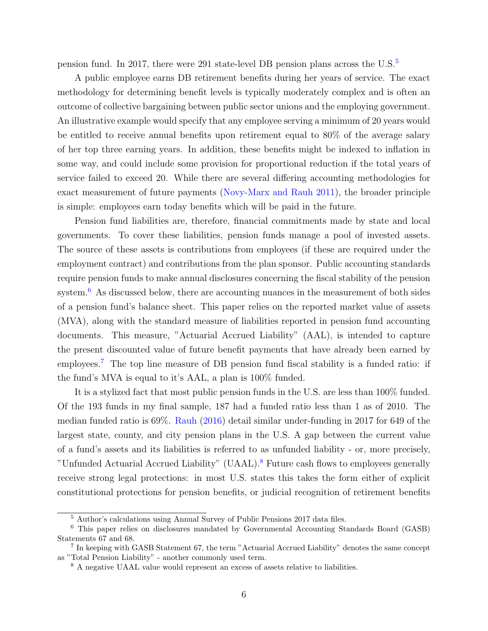pension fund. In 2017, there were 291 state-level DB pension plans across the U.S.[5](#page-0-0)

A public employee earns DB retirement benefits during her years of service. The exact methodology for determining benefit levels is typically moderately complex and is often an outcome of collective bargaining between public sector unions and the employing government. An illustrative example would specify that any employee serving a minimum of 20 years would be entitled to receive annual benefits upon retirement equal to 80% of the average salary of her top three earning years. In addition, these benefits might be indexed to inflation in some way, and could include some provision for proportional reduction if the total years of service failed to exceed 20. While there are several differing accounting methodologies for exact measurement of future payments [\(Novy-Marx and Rauh](#page-18-1) [2011\)](#page-18-1), the broader principle is simple: employees earn today benefits which will be paid in the future.

Pension fund liabilities are, therefore, financial commitments made by state and local governments. To cover these liabilities, pension funds manage a pool of invested assets. The source of these assets is contributions from employees (if these are required under the employment contract) and contributions from the plan sponsor. Public accounting standards require pension funds to make annual disclosures concerning the fiscal stability of the pension system.<sup>[6](#page-0-0)</sup> As discussed below, there are accounting nuances in the measurement of both sides of a pension fund's balance sheet. This paper relies on the reported market value of assets (MVA), along with the standard measure of liabilities reported in pension fund accounting documents. This measure, "Actuarial Accrued Liability" (AAL), is intended to capture the present discounted value of future benefit payments that have already been earned by employees.<sup>[7](#page-0-0)</sup> The top line measure of DB pension fund fiscal stability is a funded ratio: if the fund's MVA is equal to it's AAL, a plan is 100% funded.

It is a stylized fact that most public pension funds in the U.S. are less than 100% funded. Of the 193 funds in my final sample, 187 had a funded ratio less than 1 as of 2010. The median funded ratio is 69%. [Rauh](#page-19-0) [\(2016\)](#page-19-0) detail similar under-funding in 2017 for 649 of the largest state, county, and city pension plans in the U.S. A gap between the current value of a fund's assets and its liabilities is referred to as unfunded liability - or, more precisely, "Unfunded Actuarial Accrued Liability" (UAAL).[8](#page-0-0) Future cash flows to employees generally receive strong legal protections: in most U.S. states this takes the form either of explicit constitutional protections for pension benefits, or judicial recognition of retirement benefits

<sup>5</sup> Author's calculations using Annual Survey of Public Pensions 2017 data files.

<sup>6</sup> This paper relies on disclosures mandated by Governmental Accounting Standards Board (GASB) Statements 67 and 68.

<sup>&</sup>lt;sup>7</sup> In keeping with GASB Statement 67, the term "Actuarial Accrued Liability" denotes the same concept as "Total Pension Liability" - another commonly used term.

<sup>8</sup> A negative UAAL value would represent an excess of assets relative to liabilities.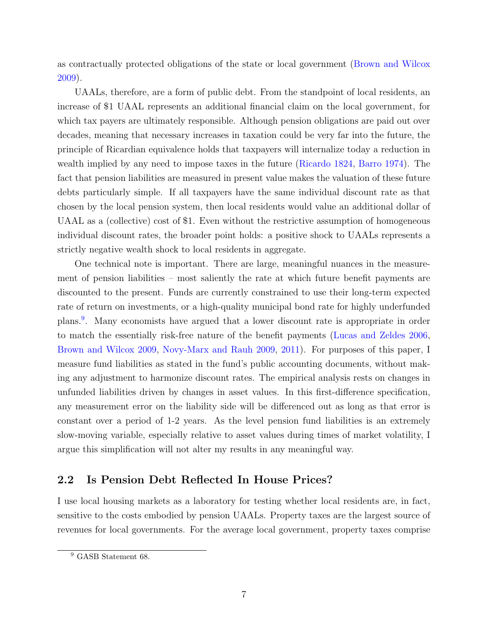as contractually protected obligations of the state or local government [\(Brown and Wilcox](#page-18-4) [2009\)](#page-18-4).

UAALs, therefore, are a form of public debt. From the standpoint of local residents, an increase of \$1 UAAL represents an additional financial claim on the local government, for which tax payers are ultimately responsible. Although pension obligations are paid out over decades, meaning that necessary increases in taxation could be very far into the future, the principle of Ricardian equivalence holds that taxpayers will internalize today a reduction in wealth implied by any need to impose taxes in the future [\(Ricardo](#page-19-4) [1824,](#page-19-4) [Barro](#page-18-8) [1974\)](#page-18-8). The fact that pension liabilities are measured in present value makes the valuation of these future debts particularly simple. If all taxpayers have the same individual discount rate as that chosen by the local pension system, then local residents would value an additional dollar of UAAL as a (collective) cost of \$1. Even without the restrictive assumption of homogeneous individual discount rates, the broader point holds: a positive shock to UAALs represents a strictly negative wealth shock to local residents in aggregate.

One technical note is important. There are large, meaningful nuances in the measurement of pension liabilities – most saliently the rate at which future benefit payments are discounted to the present. Funds are currently constrained to use their long-term expected rate of return on investments, or a high-quality municipal bond rate for highly underfunded plans.[9](#page-0-0) . Many economists have argued that a lower discount rate is appropriate in order to match the essentially risk-free nature of the benefit payments [\(Lucas and Zeldes](#page-18-9) [2006,](#page-18-9) [Brown and Wilcox](#page-18-4) [2009,](#page-18-4) [Novy-Marx and Rauh](#page-18-0) [2009,](#page-18-0) [2011\)](#page-18-1). For purposes of this paper, I measure fund liabilities as stated in the fund's public accounting documents, without making any adjustment to harmonize discount rates. The empirical analysis rests on changes in unfunded liabilities driven by changes in asset values. In this first-difference specification, any measurement error on the liability side will be differenced out as long as that error is constant over a period of 1-2 years. As the level pension fund liabilities is an extremely slow-moving variable, especially relative to asset values during times of market volatility, I argue this simplification will not alter my results in any meaningful way.

#### 2.2 Is Pension Debt Reflected In House Prices?

I use local housing markets as a laboratory for testing whether local residents are, in fact, sensitive to the costs embodied by pension UAALs. Property taxes are the largest source of revenues for local governments. For the average local government, property taxes comprise

<sup>&</sup>lt;sup>9</sup> GASB Statement 68.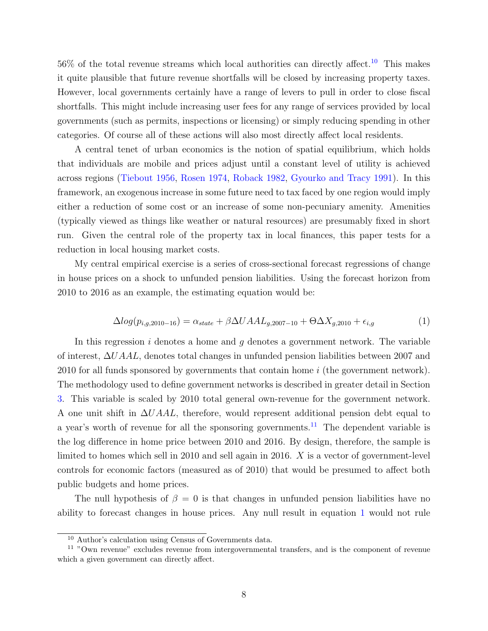$56\%$  of the total revenue streams which local authorities can directly affect.<sup>[10](#page-0-0)</sup> This makes it quite plausible that future revenue shortfalls will be closed by increasing property taxes. However, local governments certainly have a range of levers to pull in order to close fiscal shortfalls. This might include increasing user fees for any range of services provided by local governments (such as permits, inspections or licensing) or simply reducing spending in other categories. Of course all of these actions will also most directly affect local residents.

A central tenet of urban economics is the notion of spatial equilibrium, which holds that individuals are mobile and prices adjust until a constant level of utility is achieved across regions [\(Tiebout](#page-19-1) [1956,](#page-19-1) [Rosen](#page-19-2) [1974,](#page-19-2) [Roback](#page-19-3) [1982,](#page-19-3) [Gyourko and Tracy](#page-18-2) [1991\)](#page-18-2). In this framework, an exogenous increase in some future need to tax faced by one region would imply either a reduction of some cost or an increase of some non-pecuniary amenity. Amenities (typically viewed as things like weather or natural resources) are presumably fixed in short run. Given the central role of the property tax in local finances, this paper tests for a reduction in local housing market costs.

My central empirical exercise is a series of cross-sectional forecast regressions of change in house prices on a shock to unfunded pension liabilities. Using the forecast horizon from 2010 to 2016 as an example, the estimating equation would be:

<span id="page-7-0"></span>
$$
\Delta log(p_{i,g,2010-16}) = \alpha_{state} + \beta \Delta U A A L_{g,2007-10} + \Theta \Delta X_{g,2010} + \epsilon_{i,g}
$$
(1)

In this regression i denotes a home and  $g$  denotes a government network. The variable of interest, ∆UAAL, denotes total changes in unfunded pension liabilities between 2007 and 2010 for all funds sponsored by governments that contain home i (the government network). The methodology used to define government networks is described in greater detail in Section [3.](#page-9-0) This variable is scaled by 2010 total general own-revenue for the government network. A one unit shift in  $\Delta U A A L$ , therefore, would represent additional pension debt equal to a year's worth of revenue for all the sponsoring governments.<sup>[11](#page-0-0)</sup> The dependent variable is the log difference in home price between 2010 and 2016. By design, therefore, the sample is limited to homes which sell in 2010 and sell again in 2016.  $X$  is a vector of government-level controls for economic factors (measured as of 2010) that would be presumed to affect both public budgets and home prices.

The null hypothesis of  $\beta = 0$  is that changes in unfunded pension liabilities have no ability to forecast changes in house prices. Any null result in equation [1](#page-7-0) would not rule

<sup>10</sup> Author's calculation using Census of Governments data.

<sup>11</sup> "Own revenue" excludes revenue from intergovernmental transfers, and is the component of revenue which a given government can directly affect.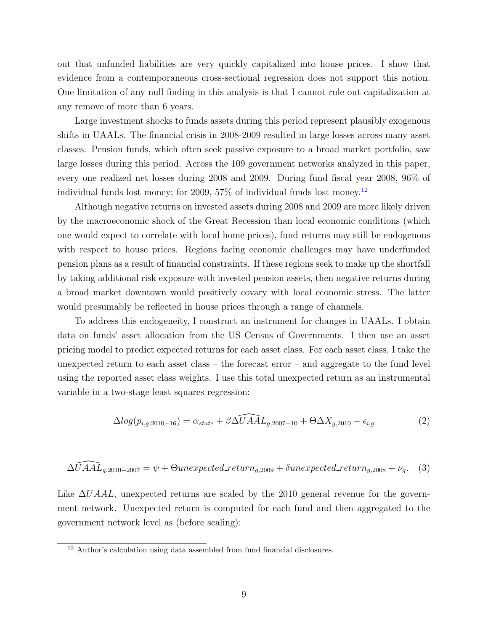out that unfunded liabilities are very quickly capitalized into house prices. I show that evidence from a contemporaneous cross-sectional regression does not support this notion. One limitation of any null finding in this analysis is that I cannot rule out capitalization at any remove of more than 6 years.

Large investment shocks to funds assets during this period represent plausibly exogenous shifts in UAALs. The financial crisis in 2008-2009 resulted in large losses across many asset classes. Pension funds, which often seek passive exposure to a broad market portfolio, saw large losses during this period. Across the 109 government networks analyzed in this paper, every one realized net losses during 2008 and 2009. During fund fiscal year 2008, 96% of individual funds lost money; for 2009,  $57\%$  of individual funds lost money.<sup>[12](#page-0-0)</sup>

Although negative returns on invested assets during 2008 and 2009 are more likely driven by the macroeconomic shock of the Great Recession than local economic conditions (which one would expect to correlate with local home prices), fund returns may still be endogenous with respect to house prices. Regions facing economic challenges may have underfunded pension plans as a result of financial constraints. If these regions seek to make up the shortfall by taking additional risk exposure with invested pension assets, then negative returns during a broad market downtown would positively covary with local economic stress. The latter would presumably be reflected in house prices through a range of channels.

To address this endogeneity, I construct an instrument for changes in UAALs. I obtain data on funds' asset allocation from the US Census of Governments. I then use an asset pricing model to predict expected returns for each asset class. For each asset class, I take the unexpected return to each asset class – the forecast error – and aggregate to the fund level using the reported asset class weights. I use this total unexpected return as an instrumental variable in a two-stage least squares regression:

<span id="page-8-0"></span>
$$
\Delta log(p_{i,g,2010-16}) = \alpha_{state} + \beta \widehat{\Delta U A A L_{g,2007-10}} + \Theta \Delta X_{g,2010} + \epsilon_{i,g}
$$
\n(2)

$$
\widehat{\Delta U A A L_{g,2010-2007}} = \psi + \Theta unexpected\_return_{g,2009} + \delta unexpected\_return_{g,2008} + \nu_g. \tag{3}
$$

Like  $\Delta U A A L$ , unexpected returns are scaled by the 2010 general revenue for the government network. Unexpected return is computed for each fund and then aggregated to the government network level as (before scaling):

<sup>12</sup> Author's calculation using data assembled from fund financial disclosures.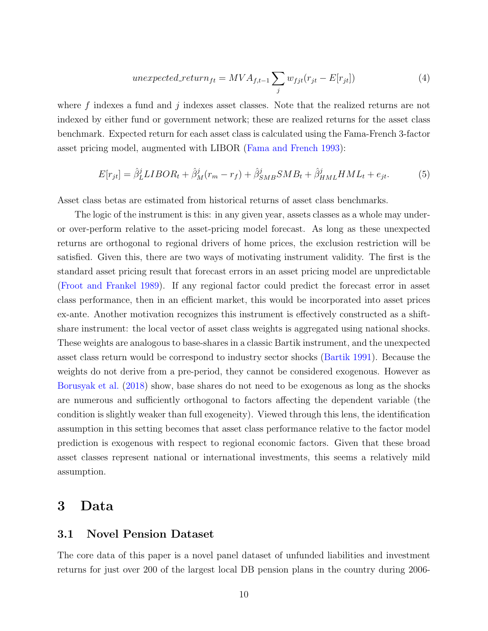unexpected\_return<sub>ft</sub> = 
$$
MVA_{f,t-1} \sum_{j} w_{fjt}(r_{jt} - E[r_{jt}])
$$
 (4)

where  $f$  indexes a fund and  $j$  indexes asset classes. Note that the realized returns are not indexed by either fund or government network; these are realized returns for the asset class benchmark. Expected return for each asset class is calculated using the Fama-French 3-factor asset pricing model, augmented with LIBOR [\(Fama and French](#page-18-3) [1993\)](#page-18-3):

$$
E[r_{jt}] = \hat{\beta}_L^j LIBOR_t + \hat{\beta}_M^j(r_m - r_f) + \hat{\beta}_{SMB}^j SMB_t + \hat{\beta}_{HML}^j HML_t + e_{jt}.
$$
 (5)

Asset class betas are estimated from historical returns of asset class benchmarks.

The logic of the instrument is this: in any given year, assets classes as a whole may underor over-perform relative to the asset-pricing model forecast. As long as these unexpected returns are orthogonal to regional drivers of home prices, the exclusion restriction will be satisfied. Given this, there are two ways of motivating instrument validity. The first is the standard asset pricing result that forecast errors in an asset pricing model are unpredictable [\(Froot and Frankel](#page-18-10) [1989\)](#page-18-10). If any regional factor could predict the forecast error in asset class performance, then in an efficient market, this would be incorporated into asset prices ex-ante. Another motivation recognizes this instrument is effectively constructed as a shiftshare instrument: the local vector of asset class weights is aggregated using national shocks. These weights are analogous to base-shares in a classic Bartik instrument, and the unexpected asset class return would be correspond to industry sector shocks [\(Bartik](#page-18-11) [1991\)](#page-18-11). Because the weights do not derive from a pre-period, they cannot be considered exogenous. However as [Borusyak et al.](#page-18-12) [\(2018\)](#page-18-12) show, base shares do not need to be exogenous as long as the shocks are numerous and sufficiently orthogonal to factors affecting the dependent variable (the condition is slightly weaker than full exogeneity). Viewed through this lens, the identification assumption in this setting becomes that asset class performance relative to the factor model prediction is exogenous with respect to regional economic factors. Given that these broad asset classes represent national or international investments, this seems a relatively mild assumption.

### <span id="page-9-0"></span>3 Data

### 3.1 Novel Pension Dataset

The core data of this paper is a novel panel dataset of unfunded liabilities and investment returns for just over 200 of the largest local DB pension plans in the country during 2006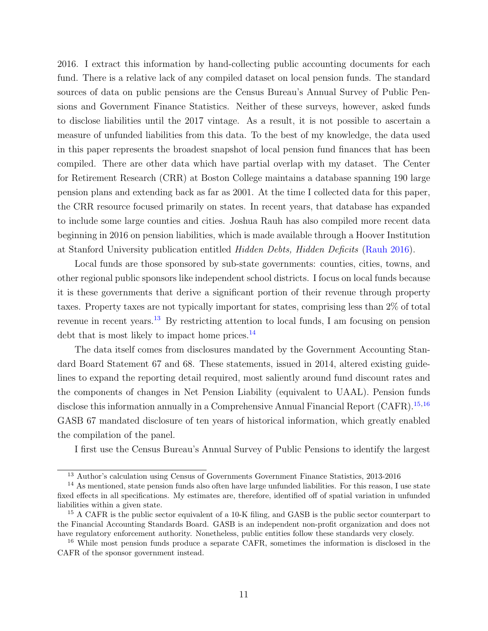2016. I extract this information by hand-collecting public accounting documents for each fund. There is a relative lack of any compiled dataset on local pension funds. The standard sources of data on public pensions are the Census Bureau's Annual Survey of Public Pensions and Government Finance Statistics. Neither of these surveys, however, asked funds to disclose liabilities until the 2017 vintage. As a result, it is not possible to ascertain a measure of unfunded liabilities from this data. To the best of my knowledge, the data used in this paper represents the broadest snapshot of local pension fund finances that has been compiled. There are other data which have partial overlap with my dataset. The Center for Retirement Research (CRR) at Boston College maintains a database spanning 190 large pension plans and extending back as far as 2001. At the time I collected data for this paper, the CRR resource focused primarily on states. In recent years, that database has expanded to include some large counties and cities. Joshua Rauh has also compiled more recent data beginning in 2016 on pension liabilities, which is made available through a Hoover Institution at Stanford University publication entitled Hidden Debts, Hidden Deficits [\(Rauh](#page-19-0) [2016\)](#page-19-0).

Local funds are those sponsored by sub-state governments: counties, cities, towns, and other regional public sponsors like independent school districts. I focus on local funds because it is these governments that derive a significant portion of their revenue through property taxes. Property taxes are not typically important for states, comprising less than 2% of total revenue in recent years.[13](#page-0-0) By restricting attention to local funds, I am focusing on pension debt that is most likely to impact home prices.<sup>[14](#page-0-0)</sup>

The data itself comes from disclosures mandated by the Government Accounting Standard Board Statement 67 and 68. These statements, issued in 2014, altered existing guidelines to expand the reporting detail required, most saliently around fund discount rates and the components of changes in Net Pension Liability (equivalent to UAAL). Pension funds disclose this information annually in a Comprehensive Annual Financial Report  $(CAFR)$ .<sup>[15](#page-0-0),[16](#page-0-0)</sup> GASB 67 mandated disclosure of ten years of historical information, which greatly enabled the compilation of the panel.

I first use the Census Bureau's Annual Survey of Public Pensions to identify the largest

<sup>&</sup>lt;sup>13</sup> Author's calculation using Census of Governments Government Finance Statistics, 2013-2016

<sup>&</sup>lt;sup>14</sup> As mentioned, state pension funds also often have large unfunded liabilities. For this reason, I use state fixed effects in all specifications. My estimates are, therefore, identified off of spatial variation in unfunded liabilities within a given state.

<sup>15</sup> A CAFR is the public sector equivalent of a 10-K filing, and GASB is the public sector counterpart to the Financial Accounting Standards Board. GASB is an independent non-profit organization and does not have regulatory enforcement authority. Nonetheless, public entities follow these standards very closely.

<sup>&</sup>lt;sup>16</sup> While most pension funds produce a separate CAFR, sometimes the information is disclosed in the CAFR of the sponsor government instead.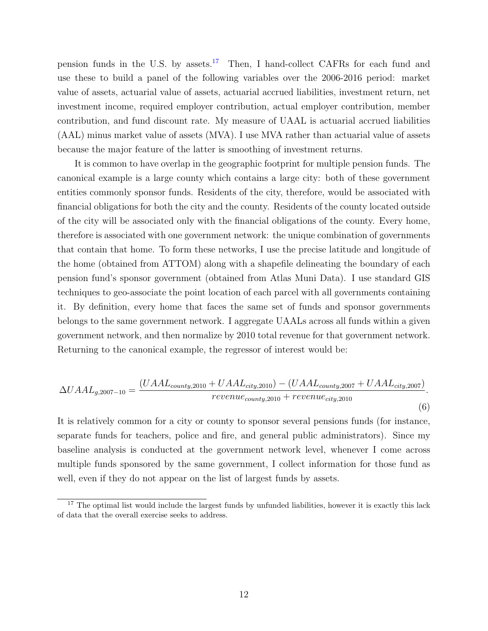pension funds in the U.S. by assets.<sup>[17](#page-0-0)</sup> Then, I hand-collect CAFRs for each fund and use these to build a panel of the following variables over the 2006-2016 period: market value of assets, actuarial value of assets, actuarial accrued liabilities, investment return, net investment income, required employer contribution, actual employer contribution, member contribution, and fund discount rate. My measure of UAAL is actuarial accrued liabilities (AAL) minus market value of assets (MVA). I use MVA rather than actuarial value of assets because the major feature of the latter is smoothing of investment returns.

It is common to have overlap in the geographic footprint for multiple pension funds. The canonical example is a large county which contains a large city: both of these government entities commonly sponsor funds. Residents of the city, therefore, would be associated with financial obligations for both the city and the county. Residents of the county located outside of the city will be associated only with the financial obligations of the county. Every home, therefore is associated with one government network: the unique combination of governments that contain that home. To form these networks, I use the precise latitude and longitude of the home (obtained from ATTOM) along with a shapefile delineating the boundary of each pension fund's sponsor government (obtained from Atlas Muni Data). I use standard GIS techniques to geo-associate the point location of each parcel with all governments containing it. By definition, every home that faces the same set of funds and sponsor governments belongs to the same government network. I aggregate UAALs across all funds within a given government network, and then normalize by 2010 total revenue for that government network. Returning to the canonical example, the regressor of interest would be:

$$
\Delta U A A L_{g,2007-10} = \frac{(U A A L_{county,2010} + U A A L_{city,2010}) - (U A A L_{county,2007} + U A A L_{city,2007})}{revenue_{county,2010} + revenue_{city,2010}}.
$$
\n(6)

It is relatively common for a city or county to sponsor several pensions funds (for instance, separate funds for teachers, police and fire, and general public administrators). Since my baseline analysis is conducted at the government network level, whenever I come across multiple funds sponsored by the same government, I collect information for those fund as well, even if they do not appear on the list of largest funds by assets.

<sup>&</sup>lt;sup>17</sup> The optimal list would include the largest funds by unfunded liabilities, however it is exactly this lack of data that the overall exercise seeks to address.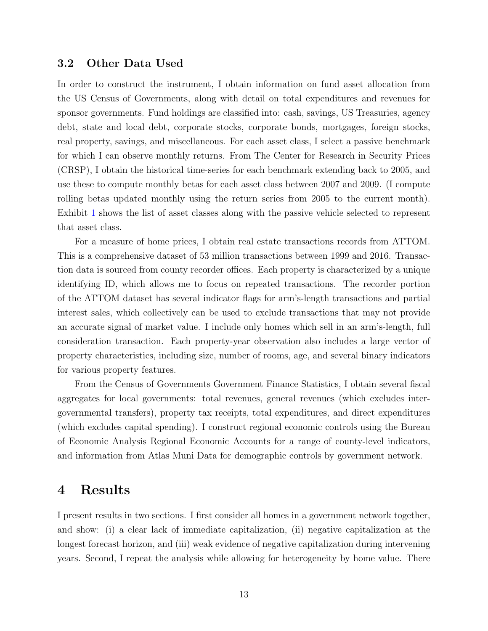#### 3.2 Other Data Used

In order to construct the instrument, I obtain information on fund asset allocation from the US Census of Governments, along with detail on total expenditures and revenues for sponsor governments. Fund holdings are classified into: cash, savings, US Treasuries, agency debt, state and local debt, corporate stocks, corporate bonds, mortgages, foreign stocks, real property, savings, and miscellaneous. For each asset class, I select a passive benchmark for which I can observe monthly returns. From The Center for Research in Security Prices (CRSP), I obtain the historical time-series for each benchmark extending back to 2005, and use these to compute monthly betas for each asset class between 2007 and 2009. (I compute rolling betas updated monthly using the return series from 2005 to the current month). Exhibit [1](#page-20-0) shows the list of asset classes along with the passive vehicle selected to represent that asset class.

For a measure of home prices, I obtain real estate transactions records from ATTOM. This is a comprehensive dataset of 53 million transactions between 1999 and 2016. Transaction data is sourced from county recorder offices. Each property is characterized by a unique identifying ID, which allows me to focus on repeated transactions. The recorder portion of the ATTOM dataset has several indicator flags for arm's-length transactions and partial interest sales, which collectively can be used to exclude transactions that may not provide an accurate signal of market value. I include only homes which sell in an arm's-length, full consideration transaction. Each property-year observation also includes a large vector of property characteristics, including size, number of rooms, age, and several binary indicators for various property features.

From the Census of Governments Government Finance Statistics, I obtain several fiscal aggregates for local governments: total revenues, general revenues (which excludes intergovernmental transfers), property tax receipts, total expenditures, and direct expenditures (which excludes capital spending). I construct regional economic controls using the Bureau of Economic Analysis Regional Economic Accounts for a range of county-level indicators, and information from Atlas Muni Data for demographic controls by government network.

### <span id="page-12-0"></span>4 Results

I present results in two sections. I first consider all homes in a government network together, and show: (i) a clear lack of immediate capitalization, (ii) negative capitalization at the longest forecast horizon, and (iii) weak evidence of negative capitalization during intervening years. Second, I repeat the analysis while allowing for heterogeneity by home value. There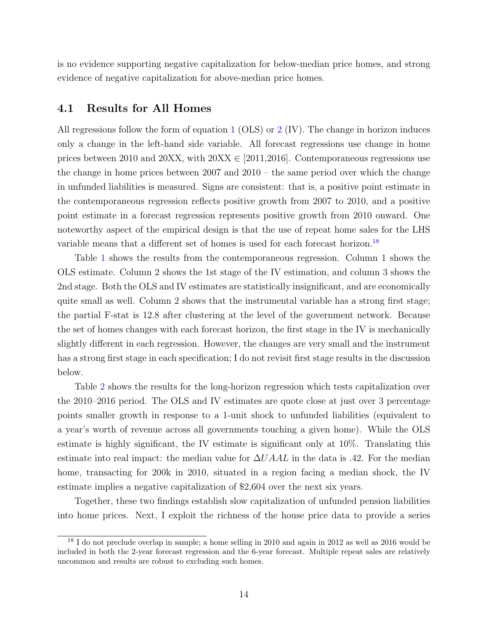is no evidence supporting negative capitalization for below-median price homes, and strong evidence of negative capitalization for above-median price homes.

#### 4.1 Results for All Homes

All regressions follow the form of equation [1](#page-7-0) (OLS) or [2](#page-8-0) (IV). The change in horizon induces only a change in the left-hand side variable. All forecast regressions use change in home prices between 2010 and 20XX, with  $20X \in [2011, 2016]$ . Contemporaneous regressions use the change in home prices between 2007 and 2010 – the same period over which the change in unfunded liabilities is measured. Signs are consistent: that is, a positive point estimate in the contemporaneous regression reflects positive growth from 2007 to 2010, and a positive point estimate in a forecast regression represents positive growth from 2010 onward. One noteworthy aspect of the empirical design is that the use of repeat home sales for the LHS variable means that a different set of homes is used for each forecast horizon.[18](#page-0-0)

Table [1](#page-24-0) shows the results from the contemporaneous regression. Column 1 shows the OLS estimate. Column 2 shows the 1st stage of the IV estimation, and column 3 shows the 2nd stage. Both the OLS and IV estimates are statistically insignificant, and are economically quite small as well. Column 2 shows that the instrumental variable has a strong first stage; the partial F-stat is 12.8 after clustering at the level of the government network. Because the set of homes changes with each forecast horizon, the first stage in the IV is mechanically slightly different in each regression. However, the changes are very small and the instrument has a strong first stage in each specification; I do not revisit first stage results in the discussion below.

Table [2](#page-25-0) shows the results for the long-horizon regression which tests capitalization over the 2010–2016 period. The OLS and IV estimates are quote close at just over 3 percentage points smaller growth in response to a 1-unit shock to unfunded liabilities (equivalent to a year's worth of revenue across all governments touching a given home). While the OLS estimate is highly significant, the IV estimate is significant only at 10%. Translating this estimate into real impact: the median value for  $\Delta U A A L$  in the data is .42. For the median home, transacting for 200k in 2010, situated in a region facing a median shock, the IV estimate implies a negative capitalization of \$2,604 over the next six years.

Together, these two findings establish slow capitalization of unfunded pension liabilities into home prices. Next, I exploit the richness of the house price data to provide a series

<sup>&</sup>lt;sup>18</sup> I do not preclude overlap in sample; a home selling in 2010 and again in 2012 as well as 2016 would be included in both the 2-year forecast regression and the 6-year forecast. Multiple repeat sales are relatively uncommon and results are robust to excluding such homes.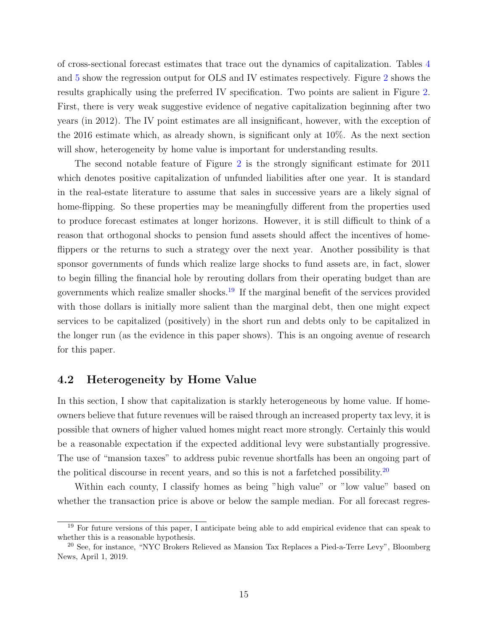of cross-sectional forecast estimates that trace out the dynamics of capitalization. Tables [4](#page-27-0) and [5](#page-28-0) show the regression output for OLS and IV estimates respectively. Figure [2](#page-21-0) shows the results graphically using the preferred IV specification. Two points are salient in Figure [2.](#page-21-0) First, there is very weak suggestive evidence of negative capitalization beginning after two years (in 2012). The IV point estimates are all insignificant, however, with the exception of the 2016 estimate which, as already shown, is significant only at 10%. As the next section will show, heterogeneity by home value is important for understanding results.

The second notable feature of Figure [2](#page-21-0) is the strongly significant estimate for 2011 which denotes positive capitalization of unfunded liabilities after one year. It is standard in the real-estate literature to assume that sales in successive years are a likely signal of home-flipping. So these properties may be meaningfully different from the properties used to produce forecast estimates at longer horizons. However, it is still difficult to think of a reason that orthogonal shocks to pension fund assets should affect the incentives of homeflippers or the returns to such a strategy over the next year. Another possibility is that sponsor governments of funds which realize large shocks to fund assets are, in fact, slower to begin filling the financial hole by rerouting dollars from their operating budget than are governments which realize smaller shocks.<sup>[19](#page-0-0)</sup> If the marginal benefit of the services provided with those dollars is initially more salient than the marginal debt, then one might expect services to be capitalized (positively) in the short run and debts only to be capitalized in the longer run (as the evidence in this paper shows). This is an ongoing avenue of research for this paper.

#### 4.2 Heterogeneity by Home Value

In this section, I show that capitalization is starkly heterogeneous by home value. If homeowners believe that future revenues will be raised through an increased property tax levy, it is possible that owners of higher valued homes might react more strongly. Certainly this would be a reasonable expectation if the expected additional levy were substantially progressive. The use of "mansion taxes" to address pubic revenue shortfalls has been an ongoing part of the political discourse in recent years, and so this is not a farfetched possibility.<sup>[20](#page-0-0)</sup>

Within each county, I classify homes as being "high value" or "low value" based on whether the transaction price is above or below the sample median. For all forecast regres-

<sup>&</sup>lt;sup>19</sup> For future versions of this paper, I anticipate being able to add empirical evidence that can speak to whether this is a reasonable hypothesis.

<sup>20</sup> See, for instance, "NYC Brokers Relieved as Mansion Tax Replaces a Pied-a-Terre Levy", Bloomberg News, April 1, 2019.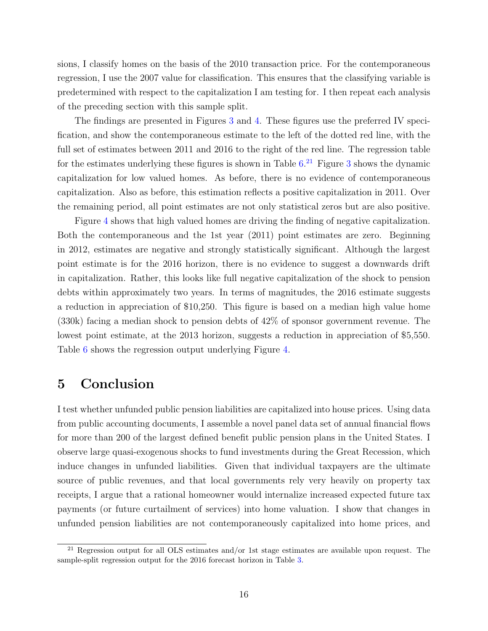sions, I classify homes on the basis of the 2010 transaction price. For the contemporaneous regression, I use the 2007 value for classification. This ensures that the classifying variable is predetermined with respect to the capitalization I am testing for. I then repeat each analysis of the preceding section with this sample split.

The findings are presented in Figures [3](#page-22-0) and [4.](#page-23-0) These figures use the preferred IV specification, and show the contemporaneous estimate to the left of the dotted red line, with the full set of estimates between 2011 and 2016 to the right of the red line. The regression table for the estimates underlying these figures is shown in Table  $6.^{21}$  $6.^{21}$  $6.^{21}$  $6.^{21}$  Figure [3](#page-22-0) shows the dynamic capitalization for low valued homes. As before, there is no evidence of contemporaneous capitalization. Also as before, this estimation reflects a positive capitalization in 2011. Over the remaining period, all point estimates are not only statistical zeros but are also positive.

Figure [4](#page-23-0) shows that high valued homes are driving the finding of negative capitalization. Both the contemporaneous and the 1st year (2011) point estimates are zero. Beginning in 2012, estimates are negative and strongly statistically significant. Although the largest point estimate is for the 2016 horizon, there is no evidence to suggest a downwards drift in capitalization. Rather, this looks like full negative capitalization of the shock to pension debts within approximately two years. In terms of magnitudes, the 2016 estimate suggests a reduction in appreciation of \$10,250. This figure is based on a median high value home (330k) facing a median shock to pension debts of 42% of sponsor government revenue. The lowest point estimate, at the 2013 horizon, suggests a reduction in appreciation of \$5,550. Table [6](#page-29-0) shows the regression output underlying Figure [4.](#page-23-0)

### <span id="page-15-0"></span>5 Conclusion

I test whether unfunded public pension liabilities are capitalized into house prices. Using data from public accounting documents, I assemble a novel panel data set of annual financial flows for more than 200 of the largest defined benefit public pension plans in the United States. I observe large quasi-exogenous shocks to fund investments during the Great Recession, which induce changes in unfunded liabilities. Given that individual taxpayers are the ultimate source of public revenues, and that local governments rely very heavily on property tax receipts, I argue that a rational homeowner would internalize increased expected future tax payments (or future curtailment of services) into home valuation. I show that changes in unfunded pension liabilities are not contemporaneously capitalized into home prices, and

<sup>&</sup>lt;sup>21</sup> Regression output for all OLS estimates and/or 1st stage estimates are available upon request. The sample-split regression output for the 2016 forecast horizon in Table [3.](#page-26-0)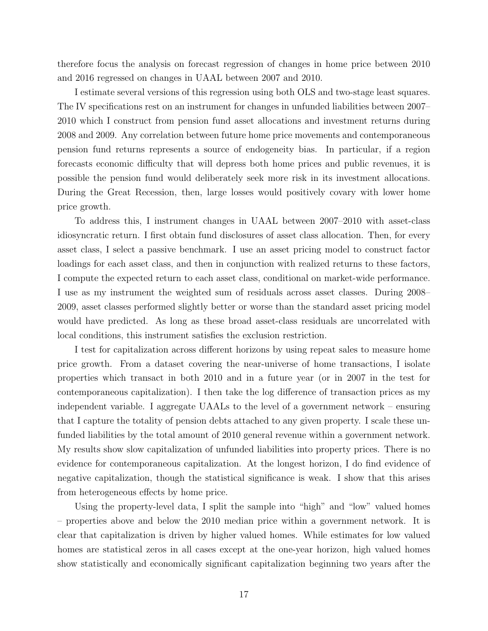therefore focus the analysis on forecast regression of changes in home price between 2010 and 2016 regressed on changes in UAAL between 2007 and 2010.

I estimate several versions of this regression using both OLS and two-stage least squares. The IV specifications rest on an instrument for changes in unfunded liabilities between 2007– 2010 which I construct from pension fund asset allocations and investment returns during 2008 and 2009. Any correlation between future home price movements and contemporaneous pension fund returns represents a source of endogeneity bias. In particular, if a region forecasts economic difficulty that will depress both home prices and public revenues, it is possible the pension fund would deliberately seek more risk in its investment allocations. During the Great Recession, then, large losses would positively covary with lower home price growth.

To address this, I instrument changes in UAAL between 2007–2010 with asset-class idiosyncratic return. I first obtain fund disclosures of asset class allocation. Then, for every asset class, I select a passive benchmark. I use an asset pricing model to construct factor loadings for each asset class, and then in conjunction with realized returns to these factors, I compute the expected return to each asset class, conditional on market-wide performance. I use as my instrument the weighted sum of residuals across asset classes. During 2008– 2009, asset classes performed slightly better or worse than the standard asset pricing model would have predicted. As long as these broad asset-class residuals are uncorrelated with local conditions, this instrument satisfies the exclusion restriction.

I test for capitalization across different horizons by using repeat sales to measure home price growth. From a dataset covering the near-universe of home transactions, I isolate properties which transact in both 2010 and in a future year (or in 2007 in the test for contemporaneous capitalization). I then take the log difference of transaction prices as my independent variable. I aggregate UAALs to the level of a government network – ensuring that I capture the totality of pension debts attached to any given property. I scale these unfunded liabilities by the total amount of 2010 general revenue within a government network. My results show slow capitalization of unfunded liabilities into property prices. There is no evidence for contemporaneous capitalization. At the longest horizon, I do find evidence of negative capitalization, though the statistical significance is weak. I show that this arises from heterogeneous effects by home price.

Using the property-level data, I split the sample into "high" and "low" valued homes – properties above and below the 2010 median price within a government network. It is clear that capitalization is driven by higher valued homes. While estimates for low valued homes are statistical zeros in all cases except at the one-year horizon, high valued homes show statistically and economically significant capitalization beginning two years after the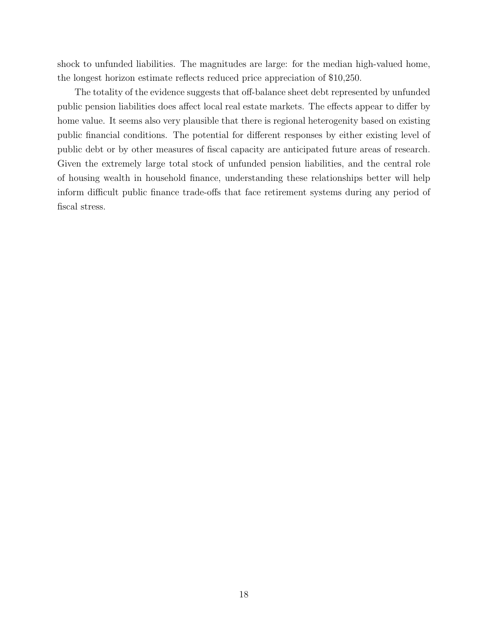shock to unfunded liabilities. The magnitudes are large: for the median high-valued home, the longest horizon estimate reflects reduced price appreciation of \$10,250.

The totality of the evidence suggests that off-balance sheet debt represented by unfunded public pension liabilities does affect local real estate markets. The effects appear to differ by home value. It seems also very plausible that there is regional heterogenity based on existing public financial conditions. The potential for different responses by either existing level of public debt or by other measures of fiscal capacity are anticipated future areas of research. Given the extremely large total stock of unfunded pension liabilities, and the central role of housing wealth in household finance, understanding these relationships better will help inform difficult public finance trade-offs that face retirement systems during any period of fiscal stress.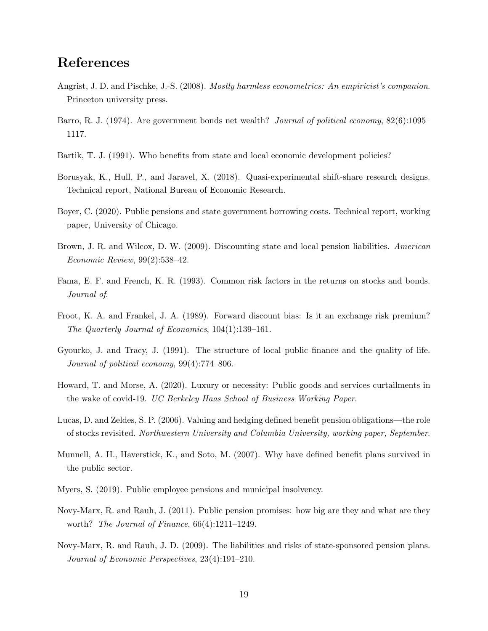### References

- Angrist, J. D. and Pischke, J.-S. (2008). Mostly harmless econometrics: An empiricist's companion. Princeton university press.
- <span id="page-18-8"></span>Barro, R. J. (1974). Are government bonds net wealth? *Journal of political economy*,  $82(6):1095-$ 1117.
- <span id="page-18-11"></span>Bartik, T. J. (1991). Who benefits from state and local economic development policies?
- <span id="page-18-12"></span>Borusyak, K., Hull, P., and Jaravel, X. (2018). Quasi-experimental shift-share research designs. Technical report, National Bureau of Economic Research.
- <span id="page-18-6"></span>Boyer, C. (2020). Public pensions and state government borrowing costs. Technical report, working paper, University of Chicago.
- <span id="page-18-4"></span>Brown, J. R. and Wilcox, D. W. (2009). Discounting state and local pension liabilities. American Economic Review, 99(2):538–42.
- <span id="page-18-3"></span>Fama, E. F. and French, K. R. (1993). Common risk factors in the returns on stocks and bonds. Journal of.
- <span id="page-18-10"></span>Froot, K. A. and Frankel, J. A. (1989). Forward discount bias: Is it an exchange risk premium? The Quarterly Journal of Economics, 104(1):139–161.
- <span id="page-18-2"></span>Gyourko, J. and Tracy, J. (1991). The structure of local public finance and the quality of life. Journal of political economy, 99(4):774–806.
- Howard, T. and Morse, A. (2020). Luxury or necessity: Public goods and services curtailments in the wake of covid-19. UC Berkeley Haas School of Business Working Paper.
- <span id="page-18-9"></span>Lucas, D. and Zeldes, S. P. (2006). Valuing and hedging defined benefit pension obligations—the role of stocks revisited. Northwestern University and Columbia University, working paper, September.
- <span id="page-18-7"></span>Munnell, A. H., Haverstick, K., and Soto, M. (2007). Why have defined benefit plans survived in the public sector.
- <span id="page-18-5"></span>Myers, S. (2019). Public employee pensions and municipal insolvency.
- <span id="page-18-1"></span>Novy-Marx, R. and Rauh, J. (2011). Public pension promises: how big are they and what are they worth? *The Journal of Finance*,  $66(4):1211-1249$ .
- <span id="page-18-0"></span>Novy-Marx, R. and Rauh, J. D. (2009). The liabilities and risks of state-sponsored pension plans. Journal of Economic Perspectives, 23(4):191–210.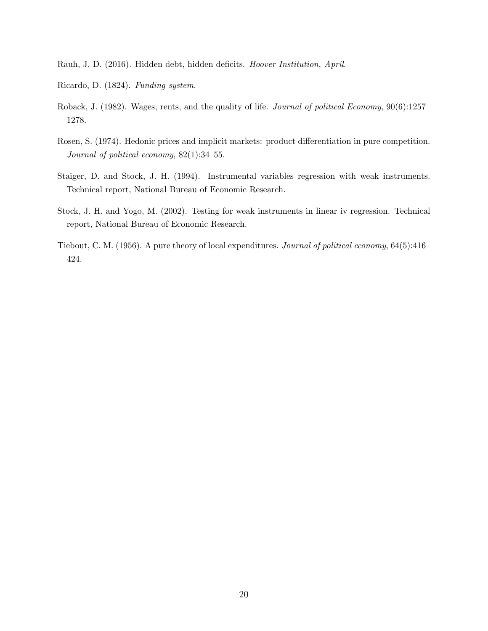<span id="page-19-0"></span>Rauh, J. D. (2016). Hidden debt, hidden deficits. Hoover Institution, April.

- <span id="page-19-4"></span>Ricardo, D. (1824). Funding system.
- <span id="page-19-3"></span>Roback, J. (1982). Wages, rents, and the quality of life. Journal of political Economy, 90(6):1257– 1278.
- <span id="page-19-2"></span>Rosen, S. (1974). Hedonic prices and implicit markets: product differentiation in pure competition. Journal of political economy, 82(1):34–55.
- Staiger, D. and Stock, J. H. (1994). Instrumental variables regression with weak instruments. Technical report, National Bureau of Economic Research.
- Stock, J. H. and Yogo, M. (2002). Testing for weak instruments in linear iv regression. Technical report, National Bureau of Economic Research.
- <span id="page-19-1"></span>Tiebout, C. M. (1956). A pure theory of local expenditures. Journal of political economy, 64(5):416– 424.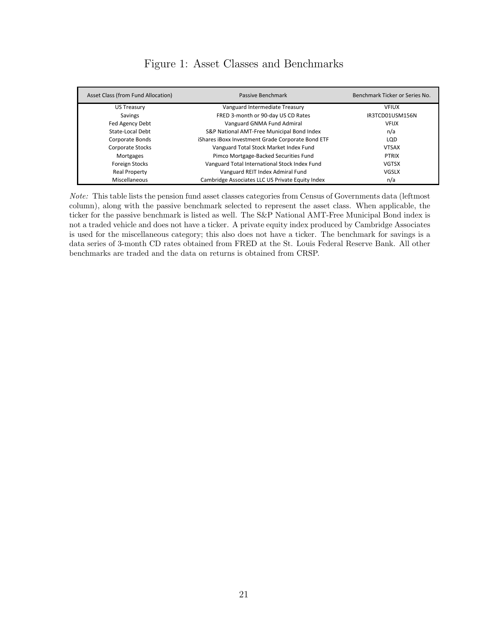<span id="page-20-0"></span>

| Asset Class (from Fund Allocation) | Passive Benchmark                                 | Benchmark Ticker or Series No. |
|------------------------------------|---------------------------------------------------|--------------------------------|
| US Treasury                        | Vanguard Intermediate Treasury                    | <b>VFIUX</b>                   |
| Savings                            | FRED 3-month or 90-day US CD Rates                | IR3TCD01USM156N                |
| Fed Agency Debt                    | Vanguard GNMA Fund Admiral                        | <b>VFIJX</b>                   |
| State-Local Debt                   | S&P National AMT-Free Municipal Bond Index        | n/a                            |
| Corporate Bonds                    | iShares iBoxx Investment Grade Corporate Bond ETF | <b>LOD</b>                     |
| Corporate Stocks                   | Vanguard Total Stock Market Index Fund            | <b>VTSAX</b>                   |
| <b>Mortgages</b>                   | Pimco Mortgage-Backed Securities Fund             | <b>PTRIX</b>                   |
| Foreign Stocks                     | Vanguard Total International Stock Index Fund     | <b>VGTSX</b>                   |
| Real Property                      | Vanguard REIT Index Admiral Fund                  | VGSLX                          |
| Miscellaneous                      | Cambridge Associates LLC US Private Equity Index  | n/a                            |

### Figure 1: Asset Classes and Benchmarks

Note: This table lists the pension fund asset classes categories from Census of Governments data (leftmost column), along with the passive benchmark selected to represent the asset class. When applicable, the ticker for the passive benchmark is listed as well. The S&P National AMT-Free Municipal Bond index is not a traded vehicle and does not have a ticker. A private equity index produced by Cambridge Associates is used for the miscellaneous category; this also does not have a ticker. The benchmark for savings is a data series of 3-month CD rates obtained from FRED at the St. Louis Federal Reserve Bank. All other benchmarks are traded and the data on returns is obtained from CRSP.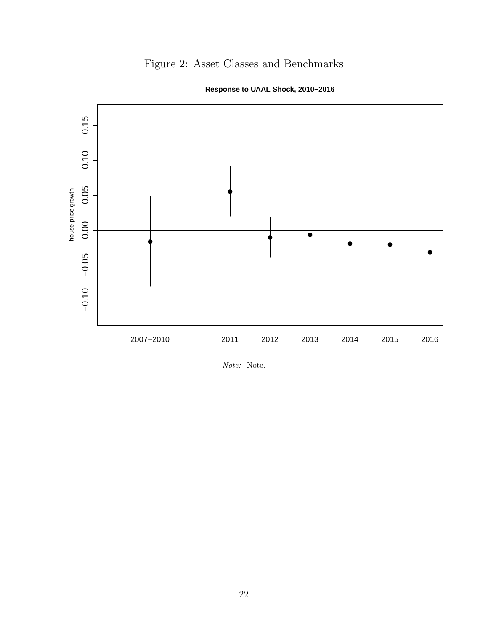# Figure 2: Asset Classes and Benchmarks

<span id="page-21-0"></span>

**Response to UAAL Shock, 2010−2016**

Note: Note.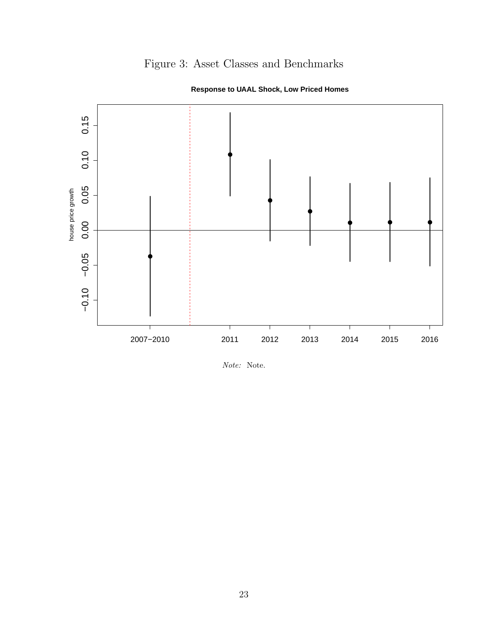# Figure 3: Asset Classes and Benchmarks

<span id="page-22-0"></span>

**Response to UAAL Shock, Low Priced Homes**

Note: Note.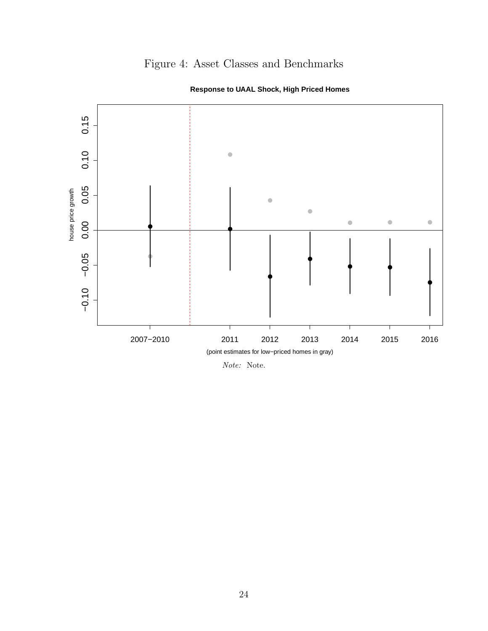# Figure 4: Asset Classes and Benchmarks

<span id="page-23-0"></span>

**Response to UAAL Shock, High Priced Homes**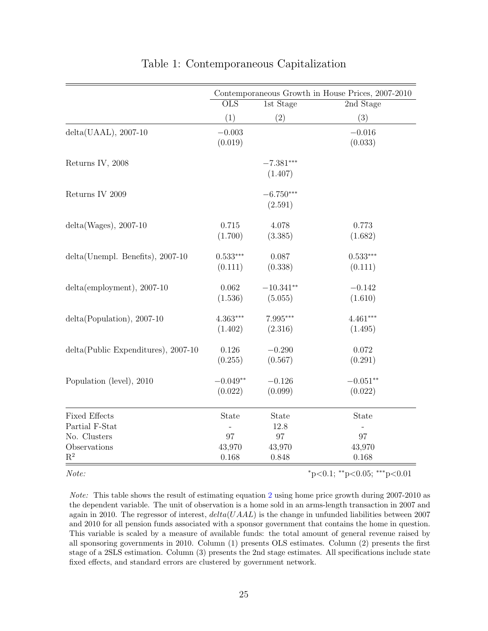<span id="page-24-0"></span>

|                                                | Contemporaneous Growth in House Prices, 2007-2010 |                           |                             |  |  |
|------------------------------------------------|---------------------------------------------------|---------------------------|-----------------------------|--|--|
|                                                | $\overline{\mathrm{OLS}}$                         | 1st Stage<br>2nd Stage    |                             |  |  |
|                                                | (1)                                               | (2)                       | (3)                         |  |  |
| $delta(UAAL), 2007-10$                         | $-0.003$<br>(0.019)                               |                           | $-0.016$<br>(0.033)         |  |  |
| Returns IV, 2008                               |                                                   | $-7.381***$<br>(1.407)    |                             |  |  |
| Returns IV $2009$                              |                                                   | $-6.750***$<br>(2.591)    |                             |  |  |
| $delta(Wages), 2007-10$                        | 0.715<br>(1.700)                                  | 4.078<br>(3.385)          | 0.773<br>(1.682)            |  |  |
| delta(Unempl. Benefits), 2007-10               | $0.533***$<br>(0.111)                             | 0.087<br>(0.338)          | $0.533***$<br>(0.111)       |  |  |
| $delta(emplogment), 2007-10$                   | 0.062<br>(1.536)                                  | $-10.341**$<br>(5.055)    | $-0.142$<br>(1.610)         |  |  |
| $delta(Population), 2007-10$                   | $4.363***$<br>(1.402)                             | 7.995***<br>(2.316)       | $4.461***$<br>(1.495)       |  |  |
| $delta(Public Expenditures), 2007-10$          | 0.126<br>(0.255)                                  | $-0.290$<br>(0.567)       | 0.072<br>(0.291)            |  |  |
| Population (level), 2010                       | $-0.049**$<br>(0.022)                             | $-0.126$<br>(0.099)       | $-0.051**$<br>(0.022)       |  |  |
| <b>Fixed Effects</b><br>Partial F-Stat         | State                                             | State<br>12.8             | State                       |  |  |
| No. Clusters<br>Observations<br>$\mathbf{R}^2$ | 97<br>43,970<br>0.168                             | $97\,$<br>43,970<br>0.848 | 97<br>43,970<br>0.168       |  |  |
| Note:                                          |                                                   |                           | *p<0.1; **p<0.05; ***p<0.01 |  |  |

Note: This table shows the result of estimating equation [2](#page-8-0) using home price growth during 2007-2010 as the dependent variable. The unit of observation is a home sold in an arms-length transaction in 2007 and again in 2010. The regressor of interest,  $delta(UAL)$  is the change in unfunded liabilities between 2007 and 2010 for all pension funds associated with a sponsor government that contains the home in question. This variable is scaled by a measure of available funds: the total amount of general revenue raised by all sponsoring governments in 2010. Column (1) presents OLS estimates. Column (2) presents the first stage of a 2SLS estimation. Column (3) presents the 2nd stage estimates. All specifications include state fixed effects, and standard errors are clustered by government network.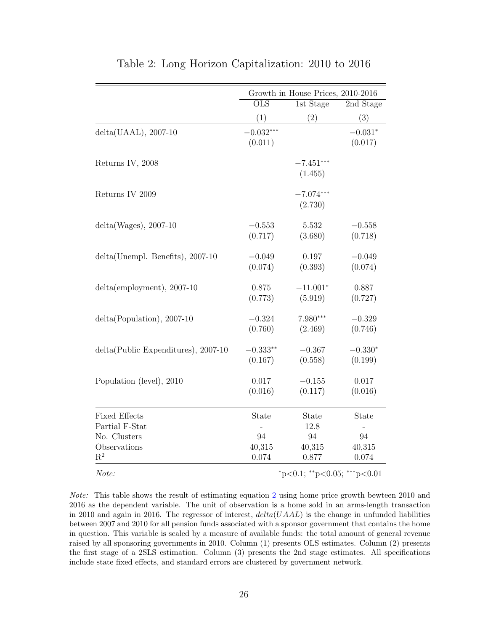<span id="page-25-0"></span>

|                                                        | Growth in House Prices, 2010-2016 |                        |                      |  |  |
|--------------------------------------------------------|-----------------------------------|------------------------|----------------------|--|--|
|                                                        | <b>OLS</b>                        | 1st Stage              | 2nd Stage            |  |  |
|                                                        | (1)                               | (2)                    | (3)                  |  |  |
| $delta(UAAL), 2007-10$                                 | $-0.032***$<br>(0.011)            |                        | $-0.031*$<br>(0.017) |  |  |
| Returns IV, 2008                                       |                                   | $-7.451***$<br>(1.455) |                      |  |  |
| Returns IV 2009                                        |                                   | $-7.074***$<br>(2.730) |                      |  |  |
| $delta(Wages), 2007-10$                                | $-0.553$<br>(0.717)               | 5.532<br>(3.680)       | $-0.558$<br>(0.718)  |  |  |
| delta(Unempl. Benefits), 2007-10                       | $-0.049$<br>(0.074)               | 0.197<br>(0.393)       | $-0.049$<br>(0.074)  |  |  |
| $delta(emplogment), 2007-10$                           | 0.875<br>(0.773)                  | $-11.001*$<br>(5.919)  | 0.887<br>(0.727)     |  |  |
| $delta(Population), 2007-10$                           | $-0.324$<br>(0.760)               | 7.980***<br>(2.469)    | $-0.329$<br>(0.746)  |  |  |
| delta(Public Expenditures), 2007-10                    | $-0.333**$<br>(0.167)             | $-0.367$<br>(0.558)    | $-0.330*$<br>(0.199) |  |  |
| Population (level), 2010                               | 0.017<br>(0.016)                  | $-0.155$<br>(0.117)    | 0.017<br>(0.016)     |  |  |
| <b>Fixed Effects</b><br>Partial F-Stat<br>No. Clusters | State<br>94                       | State<br>12.8<br>94    | State<br>94          |  |  |
| Observations<br>$R^2$                                  | 40,315<br>0.074                   | 40,315<br>0.877        | 40,315<br>0.074      |  |  |
| Note:                                                  | *p<0.1; **p<0.05; ***p<0.01       |                        |                      |  |  |

#### Table 2: Long Horizon Capitalization: 2010 to 2016

Note: This table shows the result of estimating equation [2](#page-8-0) using home price growth bewteen 2010 and 2016 as the dependent variable. The unit of observation is a home sold in an arms-length transaction in 2010 and again in 2016. The regressor of interest,  $delta(UAAL)$  is the change in unfunded liabilities between 2007 and 2010 for all pension funds associated with a sponsor government that contains the home in question. This variable is scaled by a measure of available funds: the total amount of general revenue raised by all sponsoring governments in 2010. Column (1) presents OLS estimates. Column (2) presents the first stage of a 2SLS estimation. Column (3) presents the 2nd stage estimates. All specifications include state fixed effects, and standard errors are clustered by government network.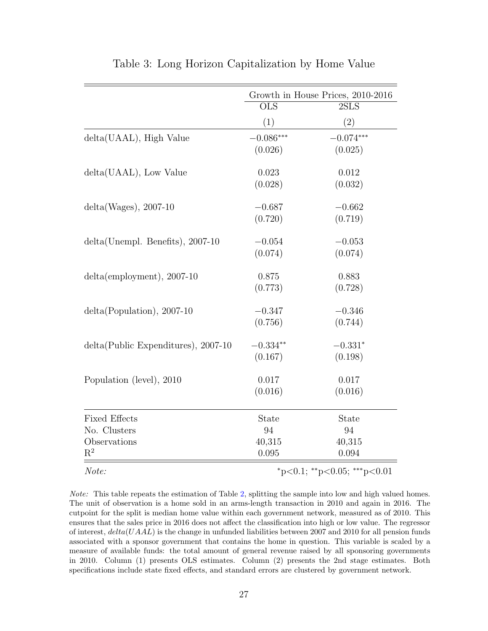<span id="page-26-0"></span>

|                                                                        | Growth in House Prices, 2010-2016     |                                       |  |  |
|------------------------------------------------------------------------|---------------------------------------|---------------------------------------|--|--|
|                                                                        | $\overline{\text{OLS}}$               | 2SLS                                  |  |  |
|                                                                        | (1)                                   | (2)                                   |  |  |
| delta(UAAL), High Value                                                | $-0.086***$<br>(0.026)                | $-0.074***$<br>(0.025)                |  |  |
| delta(UAAL), Low Value                                                 | 0.023<br>(0.028)                      | 0.012<br>(0.032)                      |  |  |
| $delta(Wages), 2007-10$                                                | $-0.687$<br>(0.720)                   | $-0.662$<br>(0.719)                   |  |  |
| $delta(Unempl. Benefits), 2007-10$                                     | $-0.054$<br>(0.074)                   | $-0.053$<br>(0.074)                   |  |  |
| $delta(emplogment), 2007-10$                                           | 0.875<br>(0.773)                      | 0.883<br>(0.728)                      |  |  |
| $delta(Population), 2007-10$                                           | $-0.347$<br>(0.756)                   | $-0.346$<br>(0.744)                   |  |  |
| $delta(Public Expenditures), 2007-10$                                  | $-0.334**$<br>(0.167)                 | $-0.331*$<br>(0.198)                  |  |  |
| Population (level), 2010                                               | 0.017<br>(0.016)                      | 0.017<br>(0.016)                      |  |  |
| <b>Fixed Effects</b><br>No. Clusters<br>Observations<br>$\mathrm{R}^2$ | <b>State</b><br>94<br>40,315<br>0.095 | <b>State</b><br>94<br>40,315<br>0.094 |  |  |
| Note:                                                                  |                                       | *p<0.1; **p<0.05; ***p<0.01           |  |  |

Table 3: Long Horizon Capitalization by Home Value

Note: This table repeats the estimation of Table [2,](#page-25-0) splitting the sample into low and high valued homes. The unit of observation is a home sold in an arms-length transaction in 2010 and again in 2016. The cutpoint for the split is median home value within each government network, measured as of 2010. This ensures that the sales price in 2016 does not affect the classification into high or low value. The regressor of interest,  $delta(UAAL)$  is the change in unfunded liabilities between 2007 and 2010 for all pension funds associated with a sponsor government that contains the home in question. This variable is scaled by a measure of available funds: the total amount of general revenue raised by all sponsoring governments in 2010. Column (1) presents OLS estimates. Column (2) presents the 2nd stage estimates. Both specifications include state fixed effects, and standard errors are clustered by government network.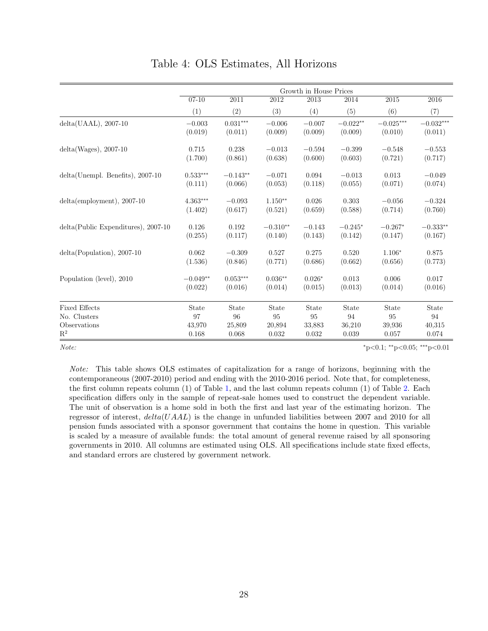<span id="page-27-0"></span>

|                                     | Growth in House Prices |            |                   |                   |            |             |             |
|-------------------------------------|------------------------|------------|-------------------|-------------------|------------|-------------|-------------|
|                                     | $07 - 10$              | 2011       | $\overline{2012}$ | $\overline{2013}$ | 2014       | 2015        | 2016        |
|                                     | (1)                    | (2)        | (3)               | (4)               | (5)        | (6)         | (7)         |
| $delta(UAAL)$ , 2007-10             | $-0.003$               | $0.031***$ | $-0.006$          | $-0.007$          | $-0.022**$ | $-0.025***$ | $-0.032***$ |
|                                     | (0.019)                | (0.011)    | (0.009)           | (0.009)           | (0.009)    | (0.010)     | (0.011)     |
| $delta(Wages), 2007-10$             | 0.715                  | 0.238      | $-0.013$          | $-0.594$          | $-0.399$   | $-0.548$    | $-0.553$    |
|                                     | (1.700)                | (0.861)    | (0.638)           | (0.600)           | (0.603)    | (0.721)     | (0.717)     |
| $delta(Unempl. Benefits), 2007-10$  | $0.533***$             | $-0.143**$ | $-0.071$          | 0.094             | $-0.013$   | 0.013       | $-0.049$    |
|                                     | (0.111)                | (0.066)    | (0.053)           | (0.118)           | (0.055)    | (0.071)     | (0.074)     |
| $delta(employment), 2007-10$        | $4.363***$             | $-0.093$   | $1.150**$         | 0.026             | 0.303      | $-0.056$    | $-0.324$    |
|                                     | (1.402)                | (0.617)    | (0.521)           | (0.659)           | (0.588)    | (0.714)     | (0.760)     |
| delta(Public Expenditures), 2007-10 | 0.126                  | 0.192      | $-0.310**$        | $-0.143$          | $-0.245*$  | $-0.267*$   | $-0.333**$  |
|                                     | (0.255)                | (0.117)    | (0.140)           | (0.143)           | (0.142)    | (0.147)     | (0.167)     |
| $delta(Population), 2007-10$        | 0.062                  | $-0.309$   | 0.527             | 0.275             | 0.520      | $1.106*$    | 0.875       |
|                                     | (1.536)                | (0.846)    | (0.771)           | (0.686)           | (0.662)    | (0.656)     | (0.773)     |
| Population (level), 2010            | $-0.049**$             | $0.053***$ | $0.036**$         | $0.026*$          | 0.013      | 0.006       | 0.017       |
|                                     | (0.022)                | (0.016)    | (0.014)           | (0.015)           | (0.013)    | (0.014)     | (0.016)     |
| <b>Fixed Effects</b>                | State                  | State      | State             | State             | State      | State       | State       |
| No. Clusters                        | 97                     | 96         | 95                | 95                | 94         | 95          | 94          |
| Observations                        | 43,970                 | 25,809     | 20,894            | 33,883            | 36,210     | 39,936      | 40,315      |
| $\mathbf{R}^2$                      | 0.168                  | 0.068      | 0.032             | 0.032             | 0.039      | 0.057       | 0.074       |

Table 4: OLS Estimates, All Horizons

Note: \* p < 0.1; \*\* p < 0.05; \*\*\* p < 0.05; \*\*\* p < 0.05}

Note: This table shows OLS estimates of capitalization for a range of horizons, beginning with the contemporaneous (2007-2010) period and ending with the 2010-2016 period. Note that, for completeness, the first column repeats column (1) of Table [1,](#page-24-0) and the last column repeats column (1) of Table [2.](#page-25-0) Each specification differs only in the sample of repeat-sale homes used to construct the dependent variable. The unit of observation is a home sold in both the first and last year of the estimating horizon. The regressor of interest,  $delta(UAL)$  is the change in unfunded liabilities between 2007 and 2010 for all pension funds associated with a sponsor government that contains the home in question. This variable is scaled by a measure of available funds: the total amount of general revenue raised by all sponsoring governments in 2010. All columns are estimated using OLS. All specifications include state fixed effects, and standard errors are clustered by government network.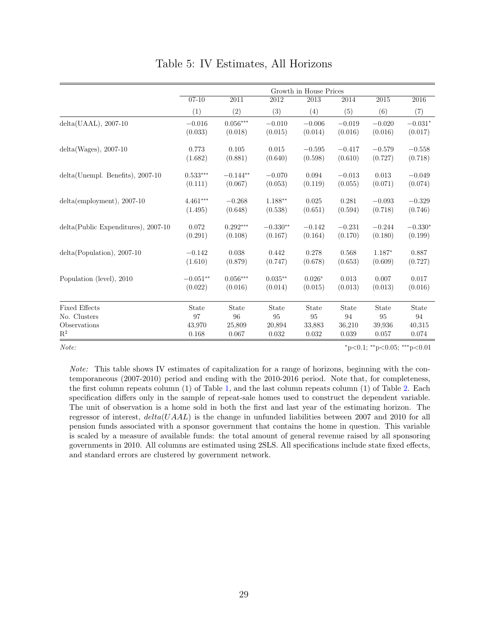<span id="page-28-0"></span>

|                                       | Growth in House Prices |            |            |          |          |          |           |
|---------------------------------------|------------------------|------------|------------|----------|----------|----------|-----------|
|                                       | $07 - 10$              | 2011       | 2012       | 2013     | 2014     | 2015     | 2016      |
|                                       | (1)                    | (2)        | (3)        | (4)      | (5)      | (6)      | (7)       |
| $delta(UAAL), 2007-10$                | $-0.016$               | $0.056***$ | $-0.010$   | $-0.006$ | $-0.019$ | $-0.020$ | $-0.031*$ |
|                                       | (0.033)                | (0.018)    | (0.015)    | (0.014)  | (0.016)  | (0.016)  | (0.017)   |
| $delta(Wages), 2007-10$               | 0.773                  | 0.105      | 0.015      | $-0.595$ | $-0.417$ | $-0.579$ | $-0.558$  |
|                                       | (1.682)                | (0.881)    | (0.640)    | (0.598)  | (0.610)  | (0.727)  | (0.718)   |
| delta(Unempl. Benefits), 2007-10      | $0.533***$             | $-0.144**$ | $-0.070$   | 0.094    | $-0.013$ | 0.013    | $-0.049$  |
|                                       | (0.111)                | (0.067)    | (0.053)    | (0.119)  | (0.055)  | (0.071)  | (0.074)   |
| $delta(emplogment), 2007-10$          | $4.461***$             | $-0.268$   | $1.188**$  | 0.025    | 0.281    | $-0.093$ | $-0.329$  |
|                                       | (1.495)                | (0.648)    | (0.538)    | (0.651)  | (0.594)  | (0.718)  | (0.746)   |
| $delta(Public Expenditures), 2007-10$ | 0.072                  | $0.292***$ | $-0.330**$ | $-0.142$ | $-0.231$ | $-0.244$ | $-0.330*$ |
|                                       | (0.291)                | (0.108)    | (0.167)    | (0.164)  | (0.170)  | (0.180)  | (0.199)   |
| $delta(Population), 2007-10$          | $-0.142$               | 0.038      | 0.442      | 0.278    | 0.568    | $1.187*$ | 0.887     |
|                                       | (1.610)                | (0.879)    | (0.747)    | (0.678)  | (0.653)  | (0.609)  | (0.727)   |
| Population (level), 2010              | $-0.051**$             | $0.056***$ | $0.035**$  | $0.026*$ | 0.013    | 0.007    | 0.017     |
|                                       | (0.022)                | (0.016)    | (0.014)    | (0.015)  | (0.013)  | (0.013)  | (0.016)   |
| <b>Fixed Effects</b>                  | State                  | State      | State      | State    | State    | State    | State     |
| No. Clusters                          | 97                     | 96         | 95         | 95       | 94       | 95       | 94        |
| Observations                          | 43,970                 | 25,809     | 20,894     | 33,883   | 36,210   | 39.936   | 40,315    |
| $\mathbf{R}^2$                        | 0.168                  | 0.067      | 0.032      | 0.032    | 0.039    | 0.057    | 0.074     |

Table 5: IV Estimates, All Horizons

 $Note:$   $*_{p<0.1}$ ;  $*_{p<0.05}$ ;  $*_{p<0.01}$ 

Note: This table shows IV estimates of capitalization for a range of horizons, beginning with the contemporaneous (2007-2010) period and ending with the 2010-2016 period. Note that, for completeness, the first column repeats column (1) of Table [1,](#page-24-0) and the last column repeats column (1) of Table [2.](#page-25-0) Each specification differs only in the sample of repeat-sale homes used to construct the dependent variable. The unit of observation is a home sold in both the first and last year of the estimating horizon. The regressor of interest,  $delta(UAL)$  is the change in unfunded liabilities between 2007 and 2010 for all pension funds associated with a sponsor government that contains the home in question. This variable is scaled by a measure of available funds: the total amount of general revenue raised by all sponsoring governments in 2010. All columns are estimated using 2SLS. All specifications include state fixed effects, and standard errors are clustered by government network.